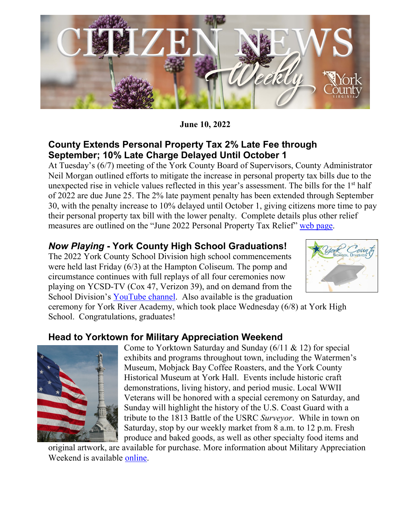

**June 10, 2022**

### **County Extends Personal Property Tax 2% Late Fee through September; 10% Late Charge Delayed Until October 1**

At Tuesday's (6/7) meeting of the York County Board of Supervisors, County Administrator Neil Morgan outlined efforts to mitigate the increase in personal property tax bills due to the unexpected rise in vehicle values reflected in this year's assessment. The bills for the 1<sup>st</sup> half of 2022 are due June 25. The 2% late payment penalty has been extended through September 30, with the penalty increase to 10% delayed until October 1, giving citizens more time to pay their personal property tax bill with the lower penalty. Complete details plus other relief measures are outlined on the "June 2022 Personal Property Tax Relief" [web page.](https://www.yorkcounty.gov/3817/June-2022-Personal-Property-Tax-Relief)

# *Now Playing* **- York County High School Graduations!**

The 2022 York County School Division high school commencements were held last Friday (6/3) at the Hampton Coliseum. The pomp and circumstance continues with full replays of all four ceremonies now playing on YCSD-TV (Cox 47, Verizon 39), and on demand from the School Division's [YouTube channel.](https://www.youtube.com/c/yorkcountyschoolsva/videos) Also available is the graduation



ceremony for York River Academy, which took place Wednesday (6/8) at York High School. Congratulations, graduates!

#### **Head to Yorktown for Military Appreciation Weekend**



Come to Yorktown Saturday and Sunday (6/11 & 12) for special exhibits and programs throughout town, including the Watermen's Museum, Mobjack Bay Coffee Roasters, and the York County Historical Museum at York Hall. Events include historic craft demonstrations, living history, and period music. Local WWII Veterans will be honored with a special ceremony on Saturday, and Sunday will highlight the history of the U.S. Coast Guard with a tribute to the 1813 Battle of the USRC *Surveyor*. While in town on Saturday, stop by our weekly market from 8 a.m. to 12 p.m. Fresh produce and baked goods, as well as other specialty food items and

original artwork, are available for purchase. More information about Military Appreciation Weekend is available [online.](https://www.visityorktown.org/DocumentCenter/View/6076/2022-Military-Appreciation-Weekend-Schedule-of-Events?bidId=)